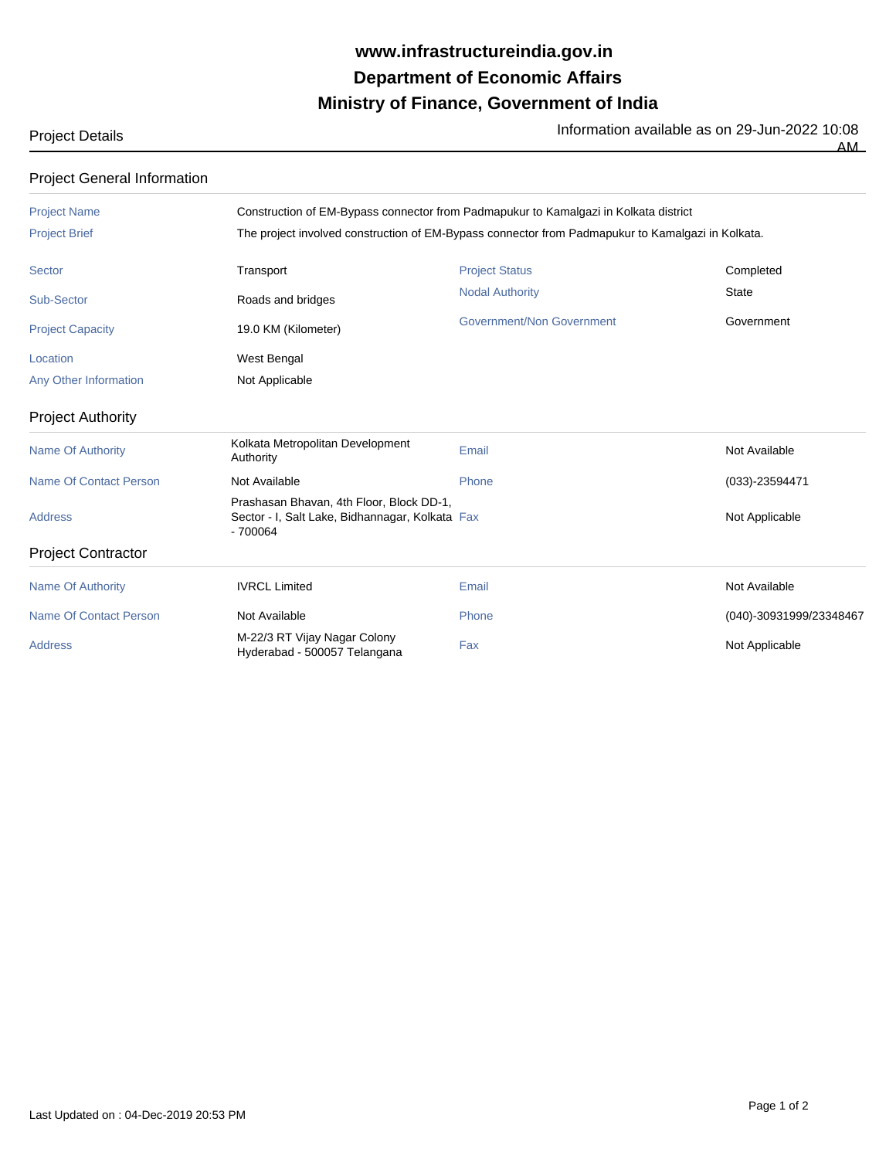## **Ministry of Finance, Government of India Department of Economic Affairs www.infrastructureindia.gov.in**

Project Details **Information available as on 29-Jun-2022** 10:08

AM

Project General Information

| <b>Project Name</b>           |                                                                                                          | Construction of EM-Bypass connector from Padmapukur to Kamalgazi in Kolkata district              |                         |  |  |
|-------------------------------|----------------------------------------------------------------------------------------------------------|---------------------------------------------------------------------------------------------------|-------------------------|--|--|
| <b>Project Brief</b>          |                                                                                                          | The project involved construction of EM-Bypass connector from Padmapukur to Kamalgazi in Kolkata. |                         |  |  |
| Sector                        | Transport                                                                                                | <b>Project Status</b>                                                                             | Completed               |  |  |
| Sub-Sector                    | Roads and bridges                                                                                        | <b>Nodal Authority</b>                                                                            | <b>State</b>            |  |  |
| <b>Project Capacity</b>       | 19.0 KM (Kilometer)                                                                                      | Government/Non Government                                                                         | Government              |  |  |
| Location                      | West Bengal                                                                                              |                                                                                                   |                         |  |  |
| Any Other Information         | Not Applicable                                                                                           |                                                                                                   |                         |  |  |
| <b>Project Authority</b>      |                                                                                                          |                                                                                                   |                         |  |  |
| <b>Name Of Authority</b>      | Kolkata Metropolitan Development<br>Authority                                                            | Email                                                                                             | Not Available           |  |  |
| <b>Name Of Contact Person</b> | Not Available                                                                                            | Phone                                                                                             | $(033) - 23594471$      |  |  |
| <b>Address</b>                | Prashasan Bhavan, 4th Floor, Block DD-1,<br>Sector - I, Salt Lake, Bidhannagar, Kolkata Fax<br>$-700064$ |                                                                                                   | Not Applicable          |  |  |
| <b>Project Contractor</b>     |                                                                                                          |                                                                                                   |                         |  |  |
| <b>Name Of Authority</b>      | <b>IVRCL Limited</b>                                                                                     | Email                                                                                             | Not Available           |  |  |
| <b>Name Of Contact Person</b> | Not Available                                                                                            | Phone                                                                                             | (040)-30931999/23348467 |  |  |
| <b>Address</b>                | M-22/3 RT Vijay Nagar Colony<br>Hyderabad - 500057 Telangana                                             | Fax                                                                                               | Not Applicable          |  |  |